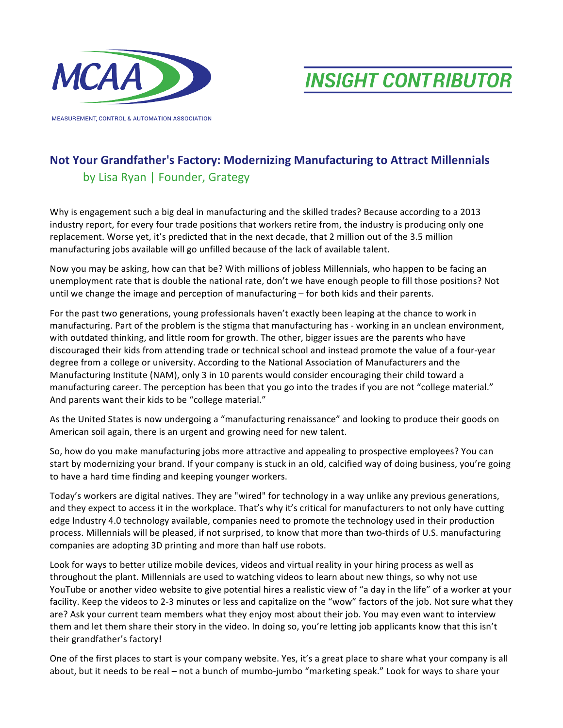

**MEASUREMENT, CONTROL & AUTOMATION ASSOCIATION** 

**INSIGHT CONTRIBUTOR** 

## **Not Your Grandfather's Factory: Modernizing Manufacturing to Attract Millennials**

## by Lisa Ryan | Founder, Grategy

Why is engagement such a big deal in manufacturing and the skilled trades? Because according to a 2013 industry report, for every four trade positions that workers retire from, the industry is producing only one replacement. Worse yet, it's predicted that in the next decade, that 2 million out of the 3.5 million manufacturing jobs available will go unfilled because of the lack of available talent.

Now you may be asking, how can that be? With millions of jobless Millennials, who happen to be facing an unemployment rate that is double the national rate, don't we have enough people to fill those positions? Not until we change the image and perception of manufacturing  $-$  for both kids and their parents.

For the past two generations, young professionals haven't exactly been leaping at the chance to work in manufacturing. Part of the problem is the stigma that manufacturing has - working in an unclean environment, with outdated thinking, and little room for growth. The other, bigger issues are the parents who have discouraged their kids from attending trade or technical school and instead promote the value of a four-year degree from a college or university. According to the National Association of Manufacturers and the Manufacturing Institute (NAM), only 3 in 10 parents would consider encouraging their child toward a manufacturing career. The perception has been that you go into the trades if you are not "college material." And parents want their kids to be "college material."

As the United States is now undergoing a "manufacturing renaissance" and looking to produce their goods on American soil again, there is an urgent and growing need for new talent.

So, how do you make manufacturing jobs more attractive and appealing to prospective employees? You can start by modernizing your brand. If your company is stuck in an old, calcified way of doing business, you're going to have a hard time finding and keeping younger workers.

Today's workers are digital natives. They are "wired" for technology in a way unlike any previous generations, and they expect to access it in the workplace. That's why it's critical for manufacturers to not only have cutting edge Industry 4.0 technology available, companies need to promote the technology used in their production process. Millennials will be pleased, if not surprised, to know that more than two-thirds of U.S. manufacturing companies are adopting 3D printing and more than half use robots.

Look for ways to better utilize mobile devices, videos and virtual reality in your hiring process as well as throughout the plant. Millennials are used to watching videos to learn about new things, so why not use YouTube or another video website to give potential hires a realistic view of "a day in the life" of a worker at your facility. Keep the videos to 2-3 minutes or less and capitalize on the "wow" factors of the job. Not sure what they are? Ask your current team members what they enjoy most about their job. You may even want to interview them and let them share their story in the video. In doing so, you're letting job applicants know that this isn't their grandfather's factory!

One of the first places to start is your company website. Yes, it's a great place to share what your company is all about, but it needs to be real – not a bunch of mumbo-jumbo "marketing speak." Look for ways to share your